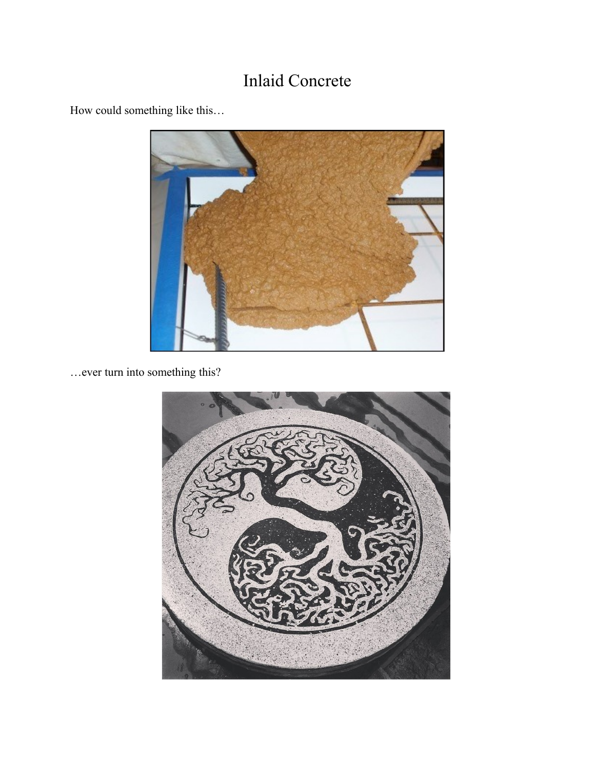# Inlaid Concrete



How could something like this…

…ever turn into something this?

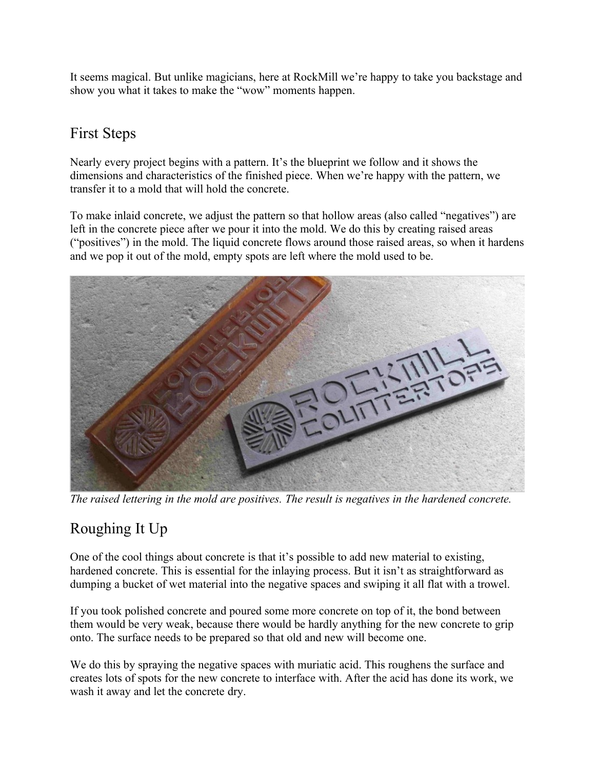It seems magical. But unlike magicians, here at RockMill we're happy to take you backstage and show you what it takes to make the "wow" moments happen.

## First Steps

Nearly every project begins with a pattern. It's the blueprint we follow and it shows the dimensions and characteristics of the finished piece. When we're happy with the pattern, we transfer it to a mold that will hold the concrete.

To make inlaid concrete, we adjust the pattern so that hollow areas (also called "negatives") are left in the concrete piece after we pour it into the mold. We do this by creating raised areas ("positives") in the mold. The liquid concrete flows around those raised areas, so when it hardens and we pop it out of the mold, empty spots are left where the mold used to be.



*The raised lettering in the mold are positives. The result is negatives in the hardened concrete.*

## Roughing It Up

One of the cool things about concrete is that it's possible to add new material to existing, hardened concrete. This is essential for the inlaying process. But it isn't as straightforward as dumping a bucket of wet material into the negative spaces and swiping it all flat with a trowel.

If you took polished concrete and poured some more concrete on top of it, the bond between them would be very weak, because there would be hardly anything for the new concrete to grip onto. The surface needs to be prepared so that old and new will become one.

We do this by spraying the negative spaces with muriatic acid. This roughens the surface and creates lots of spots for the new concrete to interface with. After the acid has done its work, we wash it away and let the concrete dry.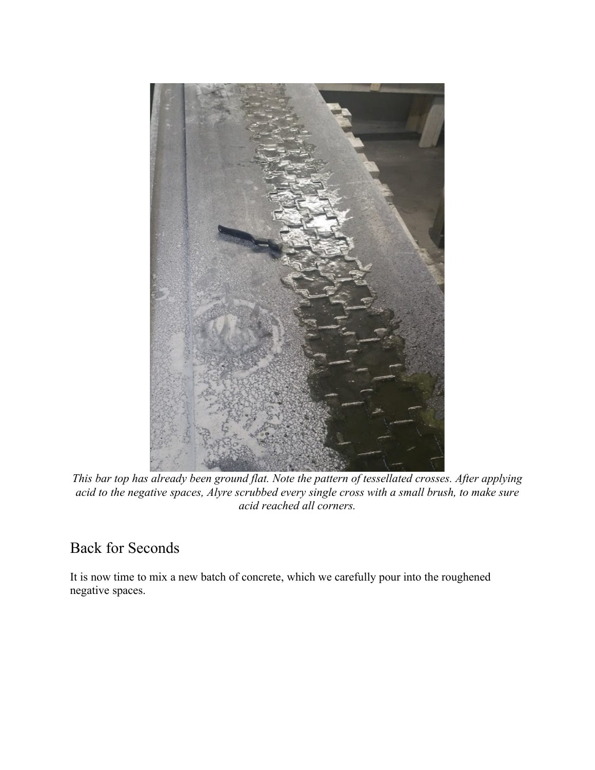

*This bar top has already been ground flat. Note the pattern of tessellated crosses. After applying acid to the negative spaces, Alyre scrubbed every single cross with a small brush, to make sure acid reached all corners.* 

#### Back for Seconds

It is now time to mix a new batch of concrete, which we carefully pour into the roughened negative spaces.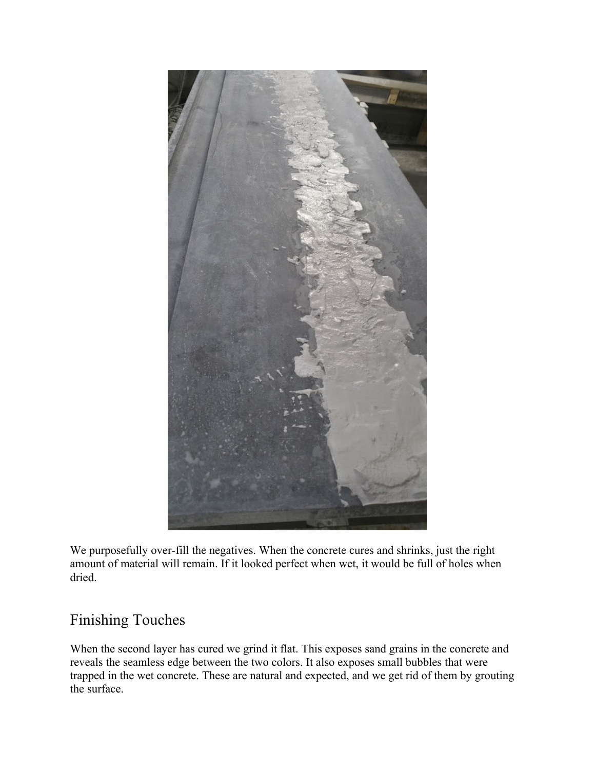

We purposefully over-fill the negatives. When the concrete cures and shrinks, just the right amount of material will remain. If it looked perfect when wet, it would be full of holes when dried.

#### Finishing Touches

When the second layer has cured we grind it flat. This exposes sand grains in the concrete and reveals the seamless edge between the two colors. It also exposes small bubbles that were trapped in the wet concrete. These are natural and expected, and we get rid of them by grouting the surface.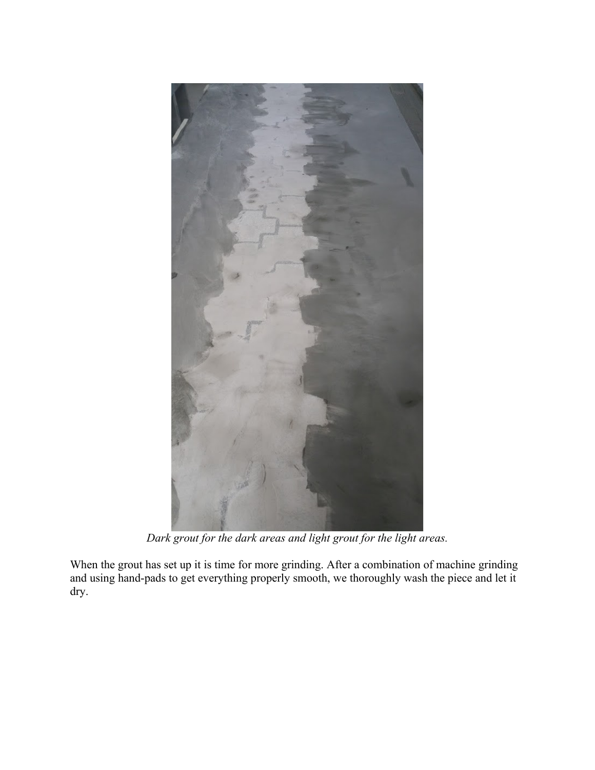

*Dark grout for the dark areas and light grout for the light areas.*

When the grout has set up it is time for more grinding. After a combination of machine grinding and using hand-pads to get everything properly smooth, we thoroughly wash the piece and let it dry.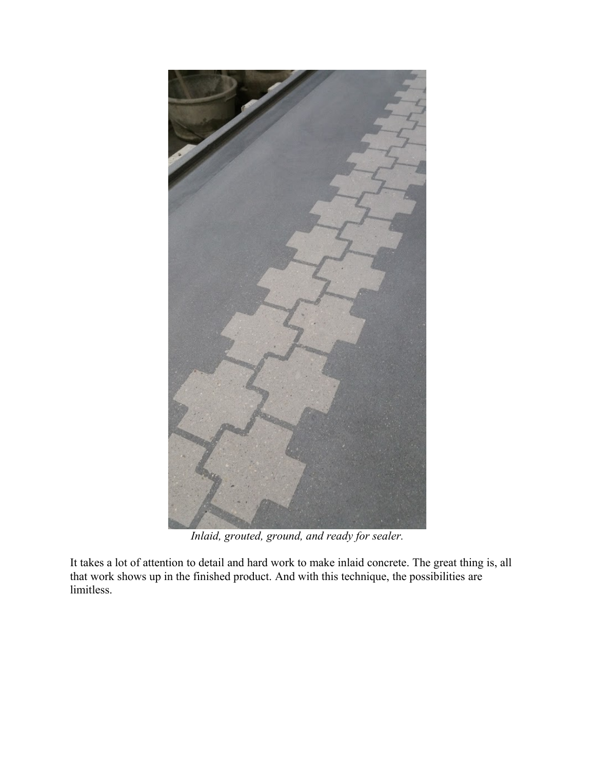

*Inlaid, grouted, ground, and ready for sealer.*

It takes a lot of attention to detail and hard work to make inlaid concrete. The great thing is, all that work shows up in the finished product. And with this technique, the possibilities are limitless.